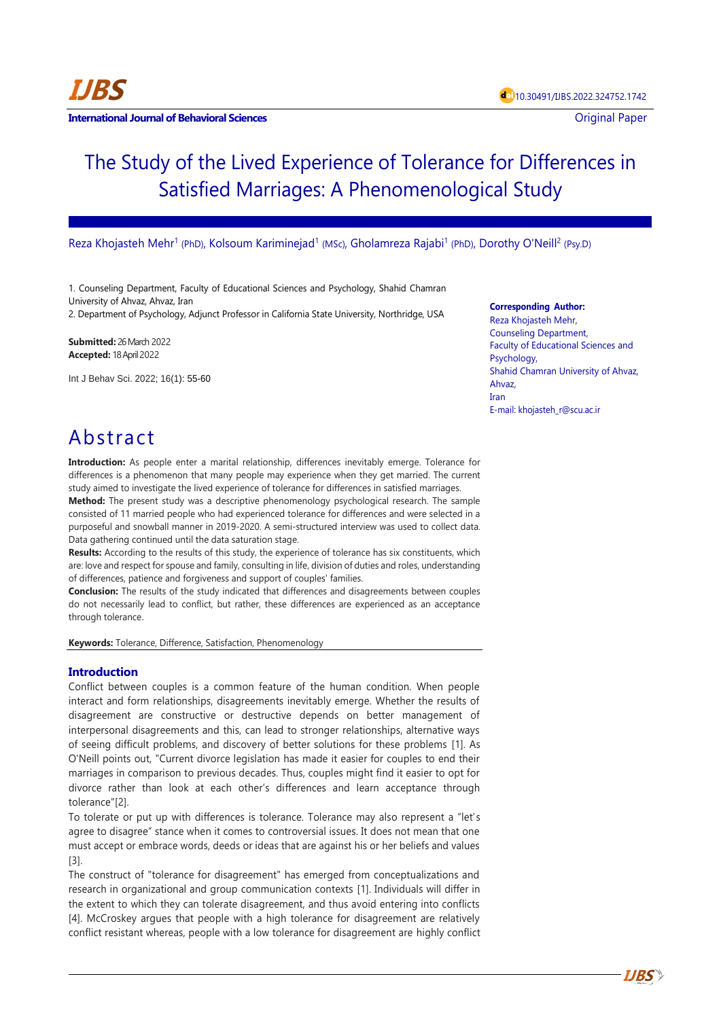# The Study of the Lived Experience of Tolerance for Differences in Satisfied Marriages: A Phenomenological Study

Reza Khojasteh Mehr<sup>1</sup> (PhD), Kolsoum Kariminejad<sup>1</sup> (MSc), Gholamreza Rajabi<sup>1</sup> (PhD), Dorothy O'Neill<sup>2</sup> (Psy.D)

1. Counseling Department, Faculty of Educational Sciences and Psychology, Shahid Chamran University of Ahvaz, Ahvaz, Iran 2. Department of Psychology, Adjunct Professor in California State University, Northridge, USA

**Submitted:** 26 March 2022 **Accepted:** 18 April 2022

Int J Behav Sci. 2022; 16(1): 55-60

**Corresponding Author:**

Reza Khojasteh Mehr, Counseling Department, Faculty of Educational Sciences and Psychology, Shahid Chamran University of Ahvaz, Ahvaz, Iran E-mail: khojasteh\_r@scu.ac.ir

**IJBS**

## Abstract

**Introduction:** As people enter a marital relationship, differences inevitably emerge. Tolerance for differences is a phenomenon that many people may experience when they get married. The current study aimed to investigate the lived experience of tolerance for differences in satisfied marriages.

**Method:** The present study was a descriptive phenomenology psychological research. The sample consisted of 11 married people who had experienced tolerance for differences and were selected in a purposeful and snowball manner in 2019-2020. A semi-structured interview was used to collect data. Data gathering continued until the data saturation stage.

**Results:** According to the results of this study, the experience of tolerance has six constituents, which are: love and respect for spouse and family, consulting in life, division of duties and roles, understanding of differences, patience and forgiveness and support of couples' families.

**Conclusion:** The results of the study indicated that differences and disagreements between couples do not necessarily lead to conflict, but rather, these differences are experienced as an acceptance through tolerance.

**Keywords:** Tolerance, Difference, Satisfaction, Phenomenology

## **Introduction**

Conflict between couples is a common feature of the human condition. When people interact and form relationships, disagreements inevitably emerge. Whether the results of disagreement are constructive or destructive depends on better management of interpersonal disagreements and this, can lead to stronger relationships, alternative ways of seeing difficult problems, and discovery of better solutions for these problems [\[1\].](https://www.amazon.com/Psychology-Tolerance-Conception-Development-SpringerBriefs/dp/9811337888) As O'Neill points out, "Current divorce legislation has made it easier for couples to end their marriages in comparison to previous decades. Thus, couples might find it easier to opt for divorce rather than look at each other's differences and learn acceptance through tolerance["\[2\].](https://www.amazon.com/Psychology-Tolerance-Conception-Development-SpringerBriefs/dp/9811337888) 

To tolerate or put up with differences is tolerance. Tolerance may also represent a "let's agree to disagree" stance when it comes to controversial issues. It does not mean that one must accept or embrace words, deeds or ideas that are against his or her beliefs and values [\[3\].](https://www.amazon.com/Psychology-Tolerance-Conception-Development-SpringerBriefs/dp/9811337888) 

The construct of "tolerance for disagreement" has emerged from conceptualizations and research in organizational and group communication contexts [1]. Individuals will differ in the extent to which they can tolerate disagreement, and thus avoid entering into conflicts [4]. McCroskey argues that people with a high tolerance for disagreement are relatively conflict resistant whereas, people with a low tolerance for disagreement are highly conflict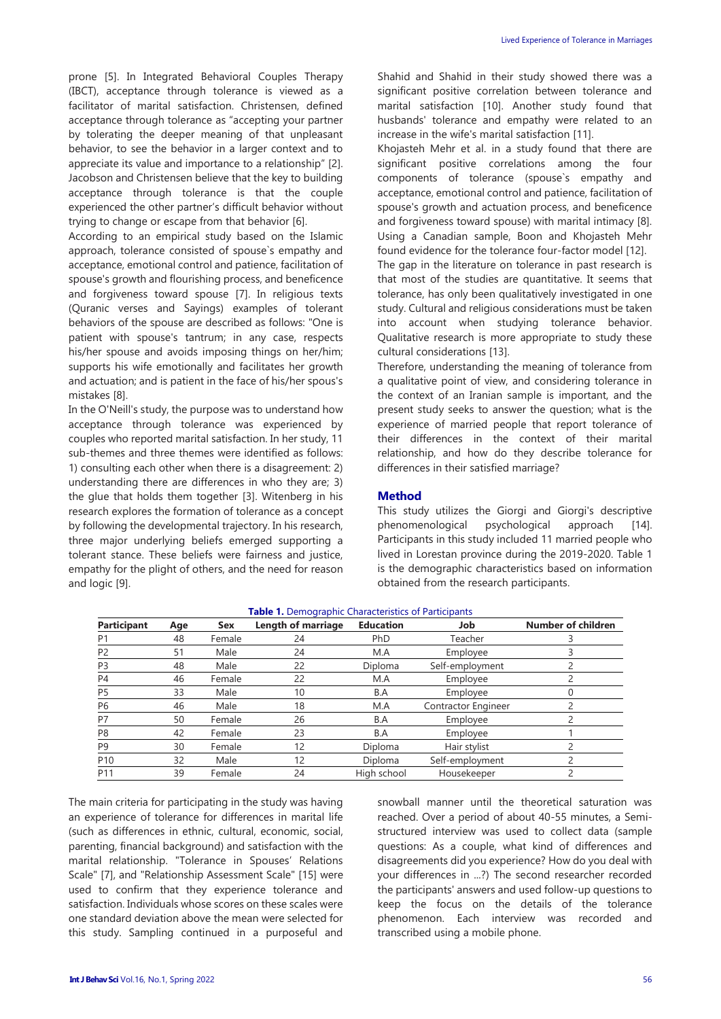prone [\[5\].](https://www.amazon.com/Psychology-Tolerance-Conception-Development-SpringerBriefs/dp/9811337888) In Integrated Behavioral Couples Therapy (IBCT), acceptance through tolerance is viewed as a facilitator of marital satisfaction. Christensen, defined acceptance through tolerance as "accepting your partner by tolerating the deeper meaning of that unpleasant behavior, to see the behavior in a larger context and to appreciate its value and importance to a relationship" [2]. Jacobson and Christensen believe that the key to building acceptance through tolerance is that the couple experienced the other partner's difficult behavior without trying to change or escape from that behavior [6].

According to an empirical study based on the Islamic approach, tolerance consisted of spouse`s empathy and acceptance, emotional control and patience, facilitation of spouse's growth and flourishing process, and beneficence and forgiveness toward spouse [\[7\].](https://www.amazon.com/Psychology-Tolerance-Conception-Development-SpringerBriefs/dp/9811337888) In religious texts (Quranic verses and Sayings) examples of tolerant behaviors of the spouse are described as follows: "One is patient with spouse's tantrum; in any case, respects his/her spouse and avoids imposing things on her/him; supports his wife emotionally and facilitates her growth and actuation; and is patient in the face of his/her spous's mistakes [8].

In the O'Neill's study, the purpose was to understand how acceptance through tolerance was experienced by couples who reported marital satisfaction. In her study, 11 sub-themes and three themes were identified as follows: 1) consulting each other when there is a disagreement: 2) understanding there are differences in who they are; 3) the glue that holds them together [3]. Witenberg in his research explores the formation of tolerance as a concept by following the developmental trajectory. In his research, three major underlying beliefs emerged supporting a tolerant stance. These beliefs were fairness and justice, empathy for the plight of others, and the need for reason and logic [9].

Shahid and Shahid in their study showed there was a significant positive correlation between tolerance and marital satisfaction [10]. Another study found that husbands' tolerance and empathy were related to an increase in the wife's marital satisfaction [11].

Khojasteh Mehr et al. in a study found that there are significant positive correlations among the four components of tolerance (spouse`s empathy and acceptance, emotional control and patience, facilitation of spouse's growth and actuation process, and beneficence and forgiveness toward spouse) with marital intimacy [8]. Using a Canadian sample, Boon and Khojasteh Mehr found evidence for the tolerance four-factor model [\[12\].](https://www.amazon.com/Psychology-Tolerance-Conception-Development-SpringerBriefs/dp/9811337888) The gap in the literature on tolerance in past research is that most of the studies are quantitative. It seems that tolerance, has only been qualitatively investigated in one study. Cultural and religious considerations must be taken into account when studying tolerance behavior. Qualitative research is more appropriate to study these cultural considerations [\[13\].](https://www.amazon.com/Psychology-Tolerance-Conception-Development-SpringerBriefs/dp/9811337888)

Therefore, understanding the meaning of tolerance from a qualitative point of view, and considering tolerance in the context of an Iranian sample is important, and the present study seeks to answer the question; what is the experience of married people that report tolerance of their differences in the context of their marital relationship, and how do they describe tolerance for differences in their satisfied marriage?

## **Method**

This study utilizes the Giorgi and Giorgi's descriptive phenomenological psychological approach [\[14\].](https://www.amazon.com/Psychology-Tolerance-Conception-Development-SpringerBriefs/dp/9811337888)  Participants in this study included 11 married people who lived in Lorestan province during the 2019-2020. Table 1 is the demographic characteristics based on information obtained from the research participants.

| <b>Participant</b> | Age | Sex    | Length of marriage | <b>Education</b> | Job                        | Number of children |
|--------------------|-----|--------|--------------------|------------------|----------------------------|--------------------|
| P1                 | 48  | Female | 24                 | PhD              | Teacher                    |                    |
| P2                 | 51  | Male   | 24                 | M.A              | Employee                   |                    |
| P3                 | 48  | Male   | 22                 | Diploma          | Self-employment            |                    |
| P4                 | 46  | Female | 22                 | M.A              | Employee                   |                    |
| P5                 | 33  | Male   | 10                 | B.A              | Employee                   |                    |
| P6                 | 46  | Male   | 18                 | M.A              | <b>Contractor Engineer</b> |                    |
| P7                 | 50  | Female | 26                 | B.A              | Employee                   |                    |
| P8                 | 42  | Female | 23                 | B.A              | Employee                   |                    |
| P9                 | 30  | Female | 12                 | Diploma          | Hair stylist               |                    |
| P <sub>10</sub>    | 32  | Male   | 12                 | Diploma          | Self-employment            |                    |
| P11                | 39  | Female | 24                 | High school      | Housekeeper                |                    |

#### **Table 1.** Demographic Characteristics of Participants

The main criteria for participating in the study was having an experience of tolerance for differences in marital life (such as differences in ethnic, cultural, economic, social, parenting, financial background) and satisfaction with the marital relationship. "Tolerance in Spouses' Relations Scale" [\[7\],](https://www.amazon.com/Psychology-Tolerance-Conception-Development-SpringerBriefs/dp/9811337888) and "Relationship Assessment Scale" [\[15\]](https://www.amazon.com/Psychology-Tolerance-Conception-Development-SpringerBriefs/dp/9811337888) were used to confirm that they experience tolerance and satisfaction. Individuals whose scores on these scales were one standard deviation above the mean were selected for this study. Sampling continued in a purposeful and snowball manner until the theoretical saturation was reached. Over a period of about 40-55 minutes, a Semistructured interview was used to collect data (sample questions: As a couple, what kind of differences and disagreements did you experience? How do you deal with your differences in ...?) The second researcher recorded the participants' answers and used follow-up questions to keep the focus on the details of the tolerance phenomenon. Each interview was recorded and transcribed using a mobile phone.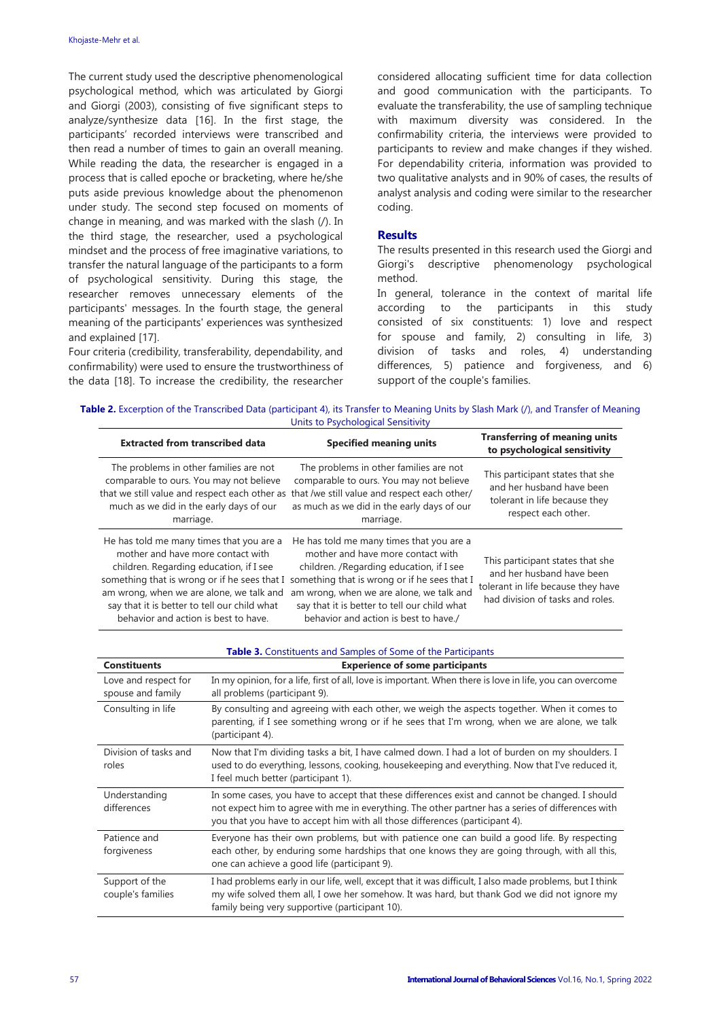The current study used the descriptive phenomenological psychological method, which was articulated by Giorgi and Giorgi (2003), consisting of five significant steps to analyze/synthesize data [\[16\].](https://www.amazon.com/Psychology-Tolerance-Conception-Development-SpringerBriefs/dp/9811337888) In the first stage, the participants' recorded interviews were transcribed and then read a number of times to gain an overall meaning. While reading the data, the researcher is engaged in a process that is called epoche or bracketing, where he/she puts aside previous knowledge about the phenomenon under study. The second step focused on moments of change in meaning, and was marked with the slash (/). In the third stage, the researcher, used a psychological mindset and the process of free imaginative variations, to transfer the natural language of the participants to a form of psychological sensitivity. During this stage, the researcher removes unnecessary elements of the participants' messages. In the fourth stage, the general meaning of the participants' experiences was synthesized and explained [\[17\].](https://www.amazon.com/Psychology-Tolerance-Conception-Development-SpringerBriefs/dp/9811337888)

Four criteria (credibility, transferability, dependability, and confirmability) were used to ensure the trustworthiness of the data [\[18\].](https://www.amazon.com/Psychology-Tolerance-Conception-Development-SpringerBriefs/dp/9811337888) To increase the credibility, the researcher considered allocating sufficient time for data collection and good communication with the participants. To evaluate the transferability, the use of sampling technique with maximum diversity was considered. In the confirmability criteria, the interviews were provided to participants to review and make changes if they wished. For dependability criteria, information was provided to two qualitative analysts and in 90% of cases, the results of analyst analysis and coding were similar to the researcher coding.

### **Results**

The results presented in this research used the Giorgi and Giorgi's descriptive phenomenology psychological method.

In general, tolerance in the context of marital life according to the participants in this study consisted of six constituents: 1) love and respect for spouse and family, 2) consulting in life, 3) division of tasks and roles, 4) understanding differences, 5) patience and forgiveness, and 6) support of the couple's families.

**Table 2.** Excerption of the Transcribed Data (participant 4), its Transfer to Meaning Units by Slash Mark (/), and Transfer of Meaning Units to Psychological Sensitivity

| <b>Extracted from transcribed data</b>                                                                                                                                                                                                                                                                       | <b>Specified meaning units</b>                                                                                                                                                                                                                                                                                  | <b>Transferring of meaning units</b><br>to psychological sensitivity                                                                    |
|--------------------------------------------------------------------------------------------------------------------------------------------------------------------------------------------------------------------------------------------------------------------------------------------------------------|-----------------------------------------------------------------------------------------------------------------------------------------------------------------------------------------------------------------------------------------------------------------------------------------------------------------|-----------------------------------------------------------------------------------------------------------------------------------------|
| The problems in other families are not<br>comparable to ours. You may not believe<br>that we still value and respect each other as that /we still value and respect each other/<br>much as we did in the early days of our<br>marriage.                                                                      | The problems in other families are not<br>comparable to ours. You may not believe<br>as much as we did in the early days of our<br>marriage.                                                                                                                                                                    | This participant states that she<br>and her husband have been<br>tolerant in life because they<br>respect each other.                   |
| He has told me many times that you are a<br>mother and have more contact with<br>children. Regarding education, if I see<br>something that is wrong or if he sees that I<br>am wrong, when we are alone, we talk and<br>say that it is better to tell our child what<br>behavior and action is best to have. | He has told me many times that you are a<br>mother and have more contact with<br>children. / Regarding education, if I see<br>something that is wrong or if he sees that I<br>am wrong, when we are alone, we talk and<br>say that it is better to tell our child what<br>behavior and action is best to have./ | This participant states that she<br>and her husband have been<br>tolerant in life because they have<br>had division of tasks and roles. |

| Table 3. Constituents and Samples of Some of the Participants |                                                                                                                                                                                                                                                                                    |  |  |  |
|---------------------------------------------------------------|------------------------------------------------------------------------------------------------------------------------------------------------------------------------------------------------------------------------------------------------------------------------------------|--|--|--|
| <b>Constituents</b>                                           | <b>Experience of some participants</b>                                                                                                                                                                                                                                             |  |  |  |
| Love and respect for<br>spouse and family                     | In my opinion, for a life, first of all, love is important. When there is love in life, you can overcome<br>all problems (participant 9).                                                                                                                                          |  |  |  |
| Consulting in life                                            | By consulting and agreeing with each other, we weigh the aspects together. When it comes to<br>parenting, if I see something wrong or if he sees that I'm wrong, when we are alone, we talk<br>(participant 4).                                                                    |  |  |  |
| Division of tasks and<br>roles                                | Now that I'm dividing tasks a bit, I have calmed down. I had a lot of burden on my shoulders. I<br>used to do everything, lessons, cooking, housekeeping and everything. Now that I've reduced it,<br>I feel much better (participant 1).                                          |  |  |  |
| Understanding<br>differences                                  | In some cases, you have to accept that these differences exist and cannot be changed. I should<br>not expect him to agree with me in everything. The other partner has a series of differences with<br>you that you have to accept him with all those differences (participant 4). |  |  |  |
| Patience and<br>forgiveness                                   | Everyone has their own problems, but with patience one can build a good life. By respecting<br>each other, by enduring some hardships that one knows they are going through, with all this,<br>one can achieve a good life (participant 9).                                        |  |  |  |
| Support of the<br>couple's families                           | I had problems early in our life, well, except that it was difficult, I also made problems, but I think<br>my wife solved them all, I owe her somehow. It was hard, but thank God we did not ignore my<br>family being very supportive (participant 10).                           |  |  |  |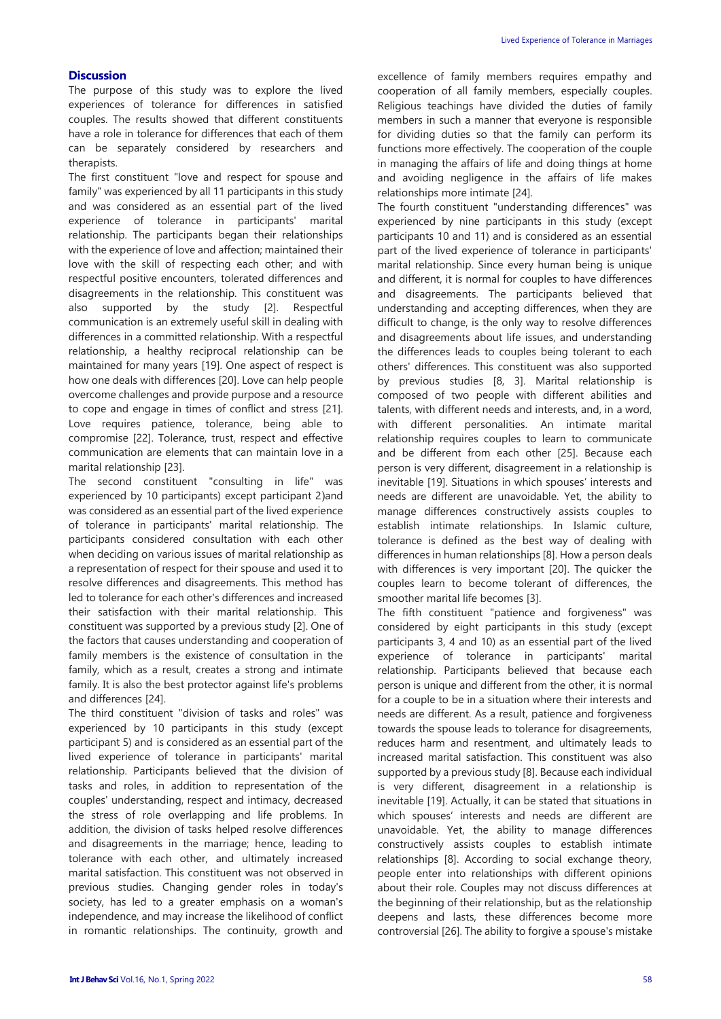## **Discussion**

The purpose of this study was to explore the lived experiences of tolerance for differences in satisfied couples. The results showed that different constituents have a role in tolerance for differences that each of them can be separately considered by researchers and therapists.

The first constituent "love and respect for spouse and family" was experienced by all 11 participants in this study and was considered as an essential part of the lived experience of tolerance in participants' marital relationship. The participants began their relationships with the experience of love and affection; maintained their love with the skill of respecting each other; and with respectful positive encounters, tolerated differences and disagreements in the relationship. This constituent was also supported by the study [\[2\].](https://www.amazon.com/Psychology-Tolerance-Conception-Development-SpringerBriefs/dp/9811337888) Respectful communication is an extremely useful skill in dealing with differences in a committed relationship. With a respectful relationship, a healthy reciprocal relationship can be maintained for many years [\[19\].](https://www.amazon.com/Psychology-Tolerance-Conception-Development-SpringerBriefs/dp/9811337888) One aspect of respect is how one deals with difference[s \[20\].](https://www.amazon.com/Psychology-Tolerance-Conception-Development-SpringerBriefs/dp/9811337888) Love can help people overcome challenges and provide purpose and a resource to cope and engage in times of conflict and stress [\[21\].](https://www.amazon.com/Psychology-Tolerance-Conception-Development-SpringerBriefs/dp/9811337888)  Love requires patience, tolerance, being able to compromise [\[22\].](https://www.amazon.com/Psychology-Tolerance-Conception-Development-SpringerBriefs/dp/9811337888) Tolerance, trust, respect and effective communication are elements that can maintain love in a marital relationship [\[23\].](https://www.amazon.com/Psychology-Tolerance-Conception-Development-SpringerBriefs/dp/9811337888) 

The second constituent "consulting in life" was experienced by 10 participants) except participant 2)and was considered as an essential part of the lived experience of tolerance in participants' marital relationship. The participants considered consultation with each other when deciding on various issues of marital relationship as a representation of respect for their spouse and used it to resolve differences and disagreements. This method has led to tolerance for each other's differences and increased their satisfaction with their marital relationship. This constituent was supported by a previous study [\[2\].](https://www.amazon.com/Psychology-Tolerance-Conception-Development-SpringerBriefs/dp/9811337888) One of the factors that causes understanding and cooperation of family members is the existence of consultation in the family, which as a result, creates a strong and intimate family. It is also the best protector against life's problems and differences [\[24\].](https://www.amazon.com/Psychology-Tolerance-Conception-Development-SpringerBriefs/dp/9811337888)

The third constituent "division of tasks and roles" was experienced by 10 participants in this study (except participant 5) and is considered as an essential part of the lived experience of tolerance in participants' marital relationship. Participants believed that the division of tasks and roles, in addition to representation of the couples' understanding, respect and intimacy, decreased the stress of role overlapping and life problems. In addition, the division of tasks helped resolve differences and disagreements in the marriage; hence, leading to tolerance with each other, and ultimately increased marital satisfaction. This constituent was not observed in previous studies. Changing gender roles in today's society, has led to a greater emphasis on a woman's independence, and may increase the likelihood of conflict in romantic relationships. The continuity, growth and excellence of family members requires empathy and cooperation of all family members, especially couples. Religious teachings have divided the duties of family members in such a manner that everyone is responsible for dividing duties so that the family can perform its functions more effectively. The cooperation of the couple in managing the affairs of life and doing things at home and avoiding negligence in the affairs of life makes relationships more intimate [24].

The fourth constituent "understanding differences" was experienced by nine participants in this study (except participants 10 and 11) and is considered as an essential part of the lived experience of tolerance in participants' marital relationship. Since every human being is unique and different, it is normal for couples to have differences and disagreements. The participants believed that understanding and accepting differences, when they are difficult to change, is the only way to resolve differences and disagreements about life issues, and understanding the differences leads to couples being tolerant to each others' differences. This constituent was also supported by previous studies [8, 3]. Marital relationship is composed of two people with different abilities and talents, with different needs and interests, and, in a word, with different personalities. An intimate marital relationship requires couples to learn to communicate and be different from each other [25]. Because each person is very different, disagreement in a relationship is inevitable [19]. Situations in which spouses' interests and needs are different are unavoidable. Yet, the ability to manage differences constructively assists couples to establish intimate relationships. In Islamic culture, tolerance is defined as the best way of dealing with differences in human relationships [8]. How a person deals with differences is very important [20]. The quicker the couples learn to become tolerant of differences, the smoother marital life becomes [3].

The fifth constituent "patience and forgiveness" was considered by eight participants in this study (except participants 3, 4 and 10) as an essential part of the lived experience of tolerance in participants' marital relationship. Participants believed that because each person is unique and different from the other, it is normal for a couple to be in a situation where their interests and needs are different. As a result, patience and forgiveness towards the spouse leads to tolerance for disagreements, reduces harm and resentment, and ultimately leads to increased marital satisfaction. This constituent was also supported by a previous study [8]. Because each individual is very different, disagreement in a relationship is inevitable [19]. Actually, it can be stated that situations in which spouses' interests and needs are different are unavoidable. Yet, the ability to manage differences constructively assists couples to establish intimate relationships [8]. According to social exchange theory, people enter into relationships with different opinions about their role. Couples may not discuss differences at the beginning of their relationship, but as the relationship deepens and lasts, these differences become more controversial [26]. The ability to forgive a spouse's mistake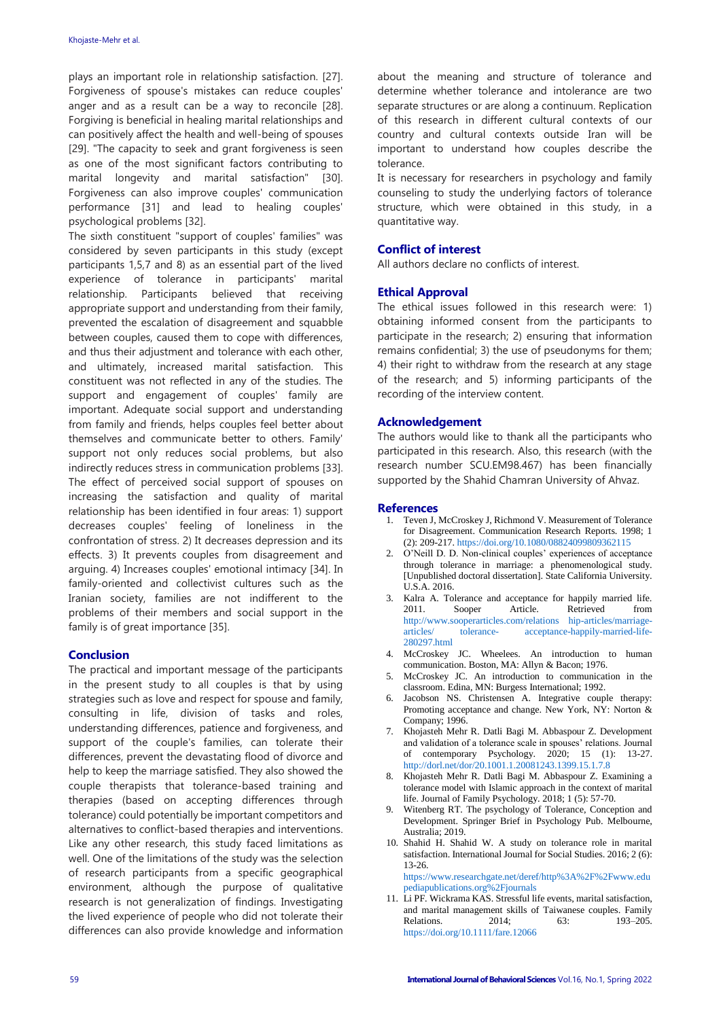plays an important role in relationship satisfaction. [27]. Forgiveness of spouse's mistakes can reduce couples' anger and as a result can be a way to reconcile [28]. Forgiving is beneficial in healing marital relationships and can positively affect the health and well-being of spouses [29]. "The capacity to seek and grant forgiveness is seen as one of the most significant factors contributing to marital longevity and marital satisfaction" [30]. Forgiveness can also improve couples' communication performance [31] and lead to healing couples' psychological problems [32].

The sixth constituent "support of couples' families" was considered by seven participants in this study (except participants 1,5,7 and 8) as an essential part of the lived experience of tolerance in participants' marital relationship. Participants believed that receiving appropriate support and understanding from their family, prevented the escalation of disagreement and squabble between couples, caused them to cope with differences, and thus their adjustment and tolerance with each other, and ultimately, increased marital satisfaction. This constituent was not reflected in any of the studies. The support and engagement of couples' family are important. Adequate social support and understanding from family and friends, helps couples feel better about themselves and communicate better to others. Family' support not only reduces social problems, but also indirectly reduces stress in communication problems [33]. The effect of perceived social support of spouses on increasing the satisfaction and quality of marital relationship has been identified in four areas: 1) support decreases couples' feeling of loneliness in the confrontation of stress. 2) It decreases depression and its effects. 3) It prevents couples from disagreement and arguing. 4) Increases couples' emotional intimacy [34]. In family-oriented and collectivist cultures such as the Iranian society, families are not indifferent to the problems of their members and social support in the family is of great importance [35].

#### **Conclusion**

The practical and important message of the participants in the present study to all couples is that by using strategies such as love and respect for spouse and family, consulting in life, division of tasks and roles, understanding differences, patience and forgiveness, and support of the couple's families, can tolerate their differences, prevent the devastating flood of divorce and help to keep the marriage satisfied. They also showed the couple therapists that tolerance-based training and therapies (based on accepting differences through tolerance) could potentially be important competitors and alternatives to conflict-based therapies and interventions. Like any other research, this study faced limitations as well. One of the limitations of the study was the selection of research participants from a specific geographical environment, although the purpose of qualitative research is not generalization of findings. Investigating the lived experience of people who did not tolerate their differences can also provide knowledge and information about the meaning and structure of tolerance and determine whether tolerance and intolerance are two separate structures or are along a continuum. Replication of this research in different cultural contexts of our country and cultural contexts outside Iran will be important to understand how couples describe the tolerance.

It is necessary for researchers in psychology and family counseling to study the underlying factors of tolerance structure, which were obtained in this study, in a quantitative way.

#### **Conflict of interest**

All authors declare no conflicts of interest.

#### **Ethical Approval**

The ethical issues followed in this research were: 1) obtaining informed consent from the participants to participate in the research; 2) ensuring that information remains confidential; 3) the use of pseudonyms for them; 4) their right to withdraw from the research at any stage of the research; and 5) informing participants of the recording of the interview content.

#### **Acknowledgement**

The authors would like to thank all the participants who participated in this research. Also, this research (with the research number SCU.EM98.467) has been financially supported by the Shahid Chamran University of Ahvaz.

#### **References**

- 1. Teven J, McCroskey J, Richmond V. Measurement of Tolerance for Disagreement. Communication Research Reports. 1998; 1 (2): 209-217[. https://doi.org/10.1080/08824099809362115](https://doi.org/10.1080/08824099809362115)
- 2. O'Neill D. D. Non-clinical couples' experiences of acceptance through tolerance in marriage: a phenomenological study. [Unpublished doctoral dissertation]. State California University. U.S.A. 2016.
- 3. Kalra A. Tolerance and acceptance for happily married life. 2011. Sooper Article. Retrieved from [http://www.sooperarticles.com/relations hip-articles/marriage](http://www.sooperarticles.com/relations%20hip-articles/marriage-articles/%20tolerance-%20acceptance-happily-married-life-%20280297.html)articles/ tolerance- [acceptance-happily-married-life-](http://www.sooperarticles.com/relations%20hip-articles/marriage-articles/%20tolerance-%20acceptance-happily-married-life-%20280297.html)[280297.html](http://www.sooperarticles.com/relations%20hip-articles/marriage-articles/%20tolerance-%20acceptance-happily-married-life-%20280297.html)
- 4. McCroskey JC. Wheelees. An introduction to human communication. Boston, MA: Allyn & Bacon; 1976.
- 5. McCroskey JC. An introduction to communication in the classroom. Edina, MN: Burgess International; 1992.
- 6. Jacobson NS. Christensen A. Integrative couple therapy: Promoting acceptance and change. New York, NY: Norton & Company; 1996.
- 7. Khojasteh Mehr R. Datli Bagi M. Abbaspour Z. Development and validation of a tolerance scale in spouses' relations. Journal of contemporary Psychology. 2020; 15 (1): 13-27. <http://dorl.net/dor/20.1001.1.20081243.1399.15.1.7.8>
- 8. Khojasteh Mehr R. Datli Bagi M. Abbaspour Z. Examining a tolerance model with Islamic approach in the context of marital life. Journal of Family Psychology. 2018; 1 (5): 57-70.
- 9. Witenberg RT. The psychology of Tolerance, Conception and Development. Springer Brief in Psychology Pub. Melbourne, Australia; 2019.
- 10. Shahid H. Shahid W. A study on tolerance role in marital satisfaction. International Journal for Social Studies. 2016; 2 (6): 13-26. [https://www.researchgate.net/deref/http%3A%2F%2Fwww.edu](https://www.researchgate.net/deref/http%3A%2F%2Fwww.edupediapublications.org%2Fjournals)

[pediapublications.org%2Fjournals](https://www.researchgate.net/deref/http%3A%2F%2Fwww.edupediapublications.org%2Fjournals)

11. Li PF. Wickrama KAS. Stressful life events, marital satisfaction, and marital management skills of Taiwanese couples. Family Relations. 2014; 63: 193-205. <https://doi.org/10.1111/fare.12066>